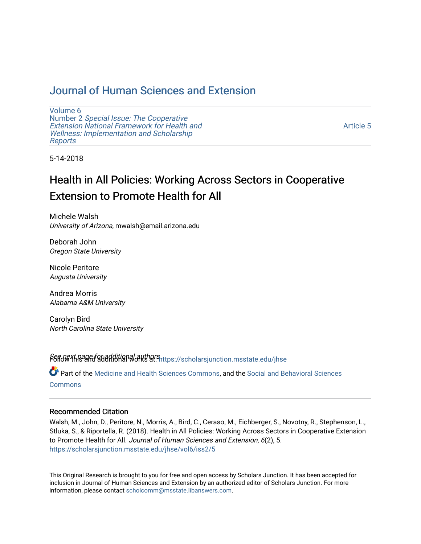## [Journal of Human Sciences and Extension](https://scholarsjunction.msstate.edu/jhse)

[Volume 6](https://scholarsjunction.msstate.edu/jhse/vol6) Number 2 [Special Issue: The Cooperative](https://scholarsjunction.msstate.edu/jhse/vol6/iss2)  [Extension National Framework for Health and](https://scholarsjunction.msstate.edu/jhse/vol6/iss2) [Wellness: Implementation and Scholarship](https://scholarsjunction.msstate.edu/jhse/vol6/iss2)  [Reports](https://scholarsjunction.msstate.edu/jhse/vol6/iss2)

[Article 5](https://scholarsjunction.msstate.edu/jhse/vol6/iss2/5) 

5-14-2018

# Health in All Policies: Working Across Sectors in Cooperative Extension to Promote Health for All

Michele Walsh University of Arizona, mwalsh@email.arizona.edu

Deborah John Oregon State University

Nicole Peritore Augusta University

Andrea Morris Alabama A&M University

Carolyn Bird North Carolina State University

PGfid\G\*thage found ditional authors at: [https://scholarsjunction.msstate.edu/jhse](https://scholarsjunction.msstate.edu/jhse?utm_source=scholarsjunction.msstate.edu%2Fjhse%2Fvol6%2Fiss2%2F5&utm_medium=PDF&utm_campaign=PDFCoverPages)

Part of the [Medicine and Health Sciences Commons,](http://network.bepress.com/hgg/discipline/648?utm_source=scholarsjunction.msstate.edu%2Fjhse%2Fvol6%2Fiss2%2F5&utm_medium=PDF&utm_campaign=PDFCoverPages) and the [Social and Behavioral Sciences](http://network.bepress.com/hgg/discipline/316?utm_source=scholarsjunction.msstate.edu%2Fjhse%2Fvol6%2Fiss2%2F5&utm_medium=PDF&utm_campaign=PDFCoverPages) **[Commons](http://network.bepress.com/hgg/discipline/316?utm_source=scholarsjunction.msstate.edu%2Fjhse%2Fvol6%2Fiss2%2F5&utm_medium=PDF&utm_campaign=PDFCoverPages)** 

#### Recommended Citation

Walsh, M., John, D., Peritore, N., Morris, A., Bird, C., Ceraso, M., Eichberger, S., Novotny, R., Stephenson, L., Stluka, S., & Riportella, R. (2018). Health in All Policies: Working Across Sectors in Cooperative Extension to Promote Health for All. Journal of Human Sciences and Extension, 6(2), 5. [https://scholarsjunction.msstate.edu/jhse/vol6/iss2/5](https://scholarsjunction.msstate.edu/jhse/vol6/iss2/5?utm_source=scholarsjunction.msstate.edu%2Fjhse%2Fvol6%2Fiss2%2F5&utm_medium=PDF&utm_campaign=PDFCoverPages)

This Original Research is brought to you for free and open access by Scholars Junction. It has been accepted for inclusion in Journal of Human Sciences and Extension by an authorized editor of Scholars Junction. For more information, please contact [scholcomm@msstate.libanswers.com](mailto:scholcomm@msstate.libanswers.com).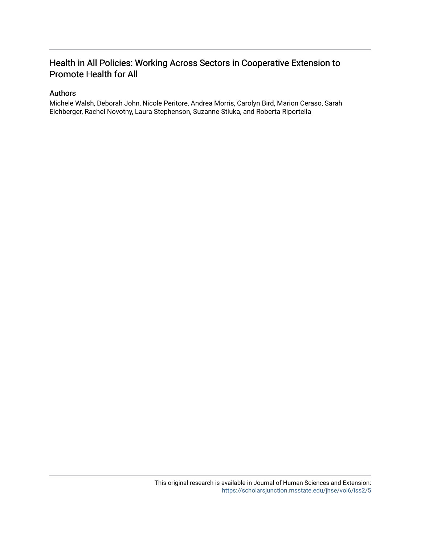## Health in All Policies: Working Across Sectors in Cooperative Extension to Promote Health for All

#### Authors

Michele Walsh, Deborah John, Nicole Peritore, Andrea Morris, Carolyn Bird, Marion Ceraso, Sarah Eichberger, Rachel Novotny, Laura Stephenson, Suzanne Stluka, and Roberta Riportella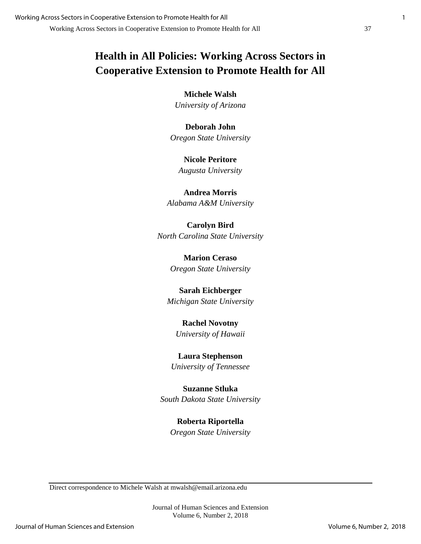# **Health in All Policies: Working Across Sectors in Cooperative Extension to Promote Health for All**

**Michele Walsh** *University of Arizona*

**Deborah John** *Oregon State University*

**Nicole Peritore** *Augusta University*

**Andrea Morris** *Alabama A&M University*

**Carolyn Bird** *North Carolina State University*

> **Marion Ceraso** *Oregon State University*

**Sarah Eichberger** *Michigan State University*

**Rachel Novotny** *University of Hawaii*

**Laura Stephenson** *University of Tennessee*

**Suzanne Stluka** *South Dakota State University*

> **Roberta Riportella** *Oregon State University*

Direct correspondence to Michele Walsh at mwalsh@email.arizona.edu

Journal of Human Sciences and Extension Volume 6, Number 2, 2018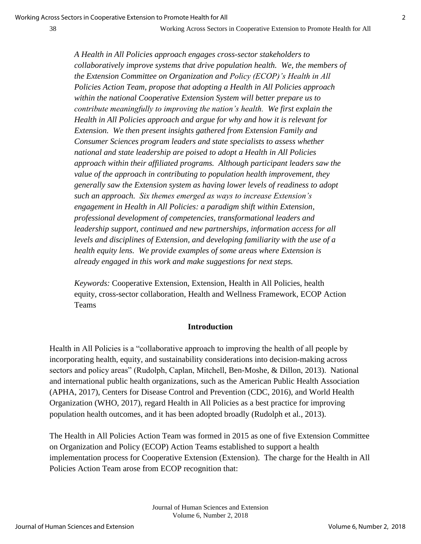*A Health in All Policies approach engages cross-sector stakeholders to collaboratively improve systems that drive population health. We, the members of the Extension Committee on Organization and Policy (ECOP)'s Health in All Policies Action Team, propose that adopting a Health in All Policies approach within the national Cooperative Extension System will better prepare us to contribute meaningfully to improving the nation's health. We first explain the Health in All Policies approach and argue for why and how it is relevant for Extension. We then present insights gathered from Extension Family and Consumer Sciences program leaders and state specialists to assess whether national and state leadership are poised to adopt a Health in All Policies approach within their affiliated programs. Although participant leaders saw the value of the approach in contributing to population health improvement, they generally saw the Extension system as having lower levels of readiness to adopt such an approach. Six themes emerged as ways to increase Extension's engagement in Health in All Policies: a paradigm shift within Extension, professional development of competencies, transformational leaders and leadership support, continued and new partnerships, information access for all levels and disciplines of Extension, and developing familiarity with the use of a health equity lens. We provide examples of some areas where Extension is already engaged in this work and make suggestions for next steps.*

*Keywords:* Cooperative Extension, Extension, Health in All Policies, health equity, cross-sector collaboration, Health and Wellness Framework, ECOP Action Teams

#### **Introduction**

Health in All Policies is a "collaborative approach to improving the health of all people by incorporating health, equity, and sustainability considerations into decision-making across sectors and policy areas" (Rudolph, Caplan, Mitchell, Ben-Moshe, & Dillon, 2013). National and international public health organizations, such as the American Public Health Association (APHA, 2017), Centers for Disease Control and Prevention (CDC, 2016), and World Health Organization (WHO, 2017), regard Health in All Policies as a best practice for improving population health outcomes, and it has been adopted broadly (Rudolph et al., 2013).

The Health in All Policies Action Team was formed in 2015 as one of five Extension Committee on Organization and Policy (ECOP) Action Teams established to support a health implementation process for Cooperative Extension (Extension). The charge for the Health in All Policies Action Team arose from ECOP recognition that: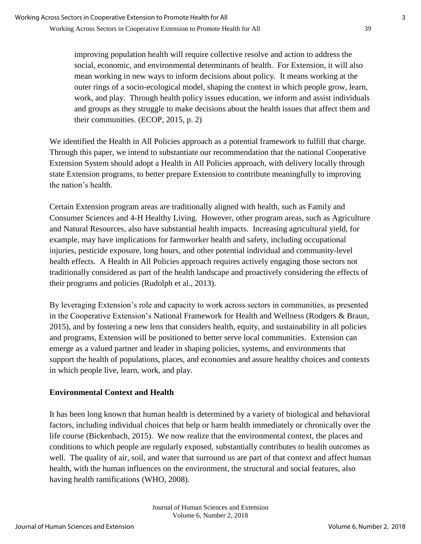improving population health will require collective resolve and action to address the social, economic, and environmental determinants of health. For Extension, it will also mean working in new ways to inform decisions about policy. It means working at the outer rings of a socio-ecological model, shaping the context in which people grow, learn, work, and play. Through health policy issues education, we inform and assist individuals and groups as they struggle to make decisions about the health issues that affect them and their communities. (ECOP, 2015, p. 2)

We identified the Health in All Policies approach as a potential framework to fulfill that charge. Through this paper, we intend to substantiate our recommendation that the national Cooperative Extension System should adopt a Health in All Policies approach, with delivery locally through state Extension programs, to better prepare Extension to contribute meaningfully to improving the nation's health.

Certain Extension program areas are traditionally aligned with health, such as Family and Consumer Sciences and 4-H Healthy Living. However, other program areas, such as Agriculture and Natural Resources, also have substantial health impacts. Increasing agricultural yield, for example, may have implications for farmworker health and safety, including occupational injuries, pesticide exposure, long hours, and other potential individual and community-level health effects. A Health in All Policies approach requires actively engaging those sectors not traditionally considered as part of the health landscape and proactively considering the effects of their programs and policies (Rudolph et al., 2013).

By leveraging Extension's role and capacity to work across sectors in communities, as presented in the Cooperative Extension's National Framework for Health and Wellness (Rodgers & Braun, 2015), and by fostering a new lens that considers health, equity, and sustainability in all policies and programs, Extension will be positioned to better serve local communities. Extension can emerge as a valued partner and leader in shaping policies, systems, and environments that support the health of populations, places, and economies and assure healthy choices and contexts in which people live, learn, work, and play.

## **Environmental Context and Health**

It has been long known that human health is determined by a variety of biological and behavioral factors, including individual choices that help or harm health immediately or chronically over the life course (Bickenbach, 2015). We now realize that the environmental context, the places and conditions to which people are regularly exposed, substantially contributes to health outcomes as well. The quality of air, soil, and water that surround us are part of that context and affect human health, with the human influences on the environment, the structural and social features, also having health ramifications (WHO, 2008).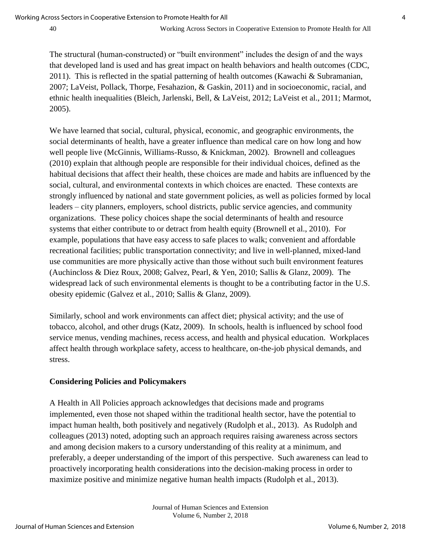The structural (human-constructed) or "built environment" includes the design of and the ways that developed land is used and has great impact on health behaviors and health outcomes (CDC, 2011). This is reflected in the spatial patterning of health outcomes (Kawachi & Subramanian, 2007; LaVeist, Pollack, Thorpe, Fesahazion, & Gaskin, 2011) and in socioeconomic, racial, and ethnic health inequalities (Bleich, Jarlenski, Bell, & LaVeist, 2012; LaVeist et al., 2011; Marmot, 2005).

We have learned that social, cultural, physical, economic, and geographic environments, the social determinants of health, have a greater influence than medical care on how long and how well people live (McGinnis, Williams-Russo, & Knickman, 2002). Brownell and colleagues (2010) explain that although people are responsible for their individual choices, defined as the habitual decisions that affect their health, these choices are made and habits are influenced by the social, cultural, and environmental contexts in which choices are enacted. These contexts are strongly influenced by national and state government policies, as well as policies formed by local leaders – city planners, employers, school districts, public service agencies, and community organizations. These policy choices shape the social determinants of health and resource systems that either contribute to or detract from health equity (Brownell et al., 2010). For example, populations that have easy access to safe places to walk; convenient and affordable recreational facilities; public transportation connectivity; and live in well-planned, mixed-land use communities are more physically active than those without such built environment features (Auchincloss & Diez Roux, 2008; Galvez, Pearl, & Yen, 2010; Sallis & Glanz, 2009). The widespread lack of such environmental elements is thought to be a contributing factor in the U.S. obesity epidemic (Galvez et al., 2010; Sallis & Glanz, 2009).

Similarly, school and work environments can affect diet; physical activity; and the use of tobacco, alcohol, and other drugs (Katz, 2009). In schools, health is influenced by school food service menus, vending machines, recess access, and health and physical education. Workplaces affect health through workplace safety, access to healthcare, on-the-job physical demands, and stress.

#### **Considering Policies and Policymakers**

A Health in All Policies approach acknowledges that decisions made and programs implemented, even those not shaped within the traditional health sector, have the potential to impact human health, both positively and negatively (Rudolph et al., 2013). As Rudolph and colleagues (2013) noted, adopting such an approach requires raising awareness across sectors and among decision makers to a cursory understanding of this reality at a minimum, and preferably, a deeper understanding of the import of this perspective. Such awareness can lead to proactively incorporating health considerations into the decision-making process in order to maximize positive and minimize negative human health impacts (Rudolph et al., 2013).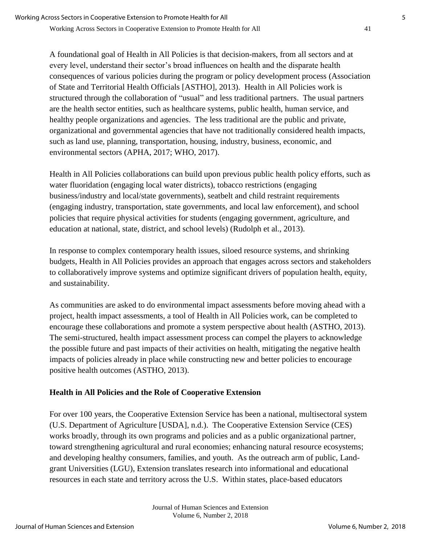A foundational goal of Health in All Policies is that decision-makers, from all sectors and at every level, understand their sector's broad influences on health and the disparate health consequences of various policies during the program or policy development process (Association of State and Territorial Health Officials [ASTHO], 2013). Health in All Policies work is structured through the collaboration of "usual" and less traditional partners. The usual partners are the health sector entities, such as healthcare systems, public health, human service, and healthy people organizations and agencies. The less traditional are the public and private, organizational and governmental agencies that have not traditionally considered health impacts, such as land use, planning, transportation, housing, industry, business, economic, and environmental sectors (APHA, 2017; WHO, 2017).

Health in All Policies collaborations can build upon previous public health policy efforts, such as water fluoridation (engaging local water districts), tobacco restrictions (engaging business/industry and local/state governments), seatbelt and child restraint requirements (engaging industry, transportation, state governments, and local law enforcement), and school policies that require physical activities for students (engaging government, agriculture, and education at national, state, district, and school levels) (Rudolph et al., 2013).

In response to complex contemporary health issues, siloed resource systems, and shrinking budgets, Health in All Policies provides an approach that engages across sectors and stakeholders to collaboratively improve systems and optimize significant drivers of population health, equity, and sustainability.

As communities are asked to do environmental impact assessments before moving ahead with a project, health impact assessments, a tool of Health in All Policies work, can be completed to encourage these collaborations and promote a system perspective about health (ASTHO, 2013). The semi-structured, health impact assessment process can compel the players to acknowledge the possible future and past impacts of their activities on health, mitigating the negative health impacts of policies already in place while constructing new and better policies to encourage positive health outcomes (ASTHO, 2013).

## **Health in All Policies and the Role of Cooperative Extension**

For over 100 years, the Cooperative Extension Service has been a national, multisectoral system (U.S. Department of Agriculture [USDA], n.d.). The Cooperative Extension Service (CES) works broadly, through its own programs and policies and as a public organizational partner, toward strengthening agricultural and rural economies; enhancing natural resource ecosystems; and developing healthy consumers, families, and youth. As the outreach arm of public, Landgrant Universities (LGU), Extension translates research into informational and educational resources in each state and territory across the U.S. Within states, place-based educators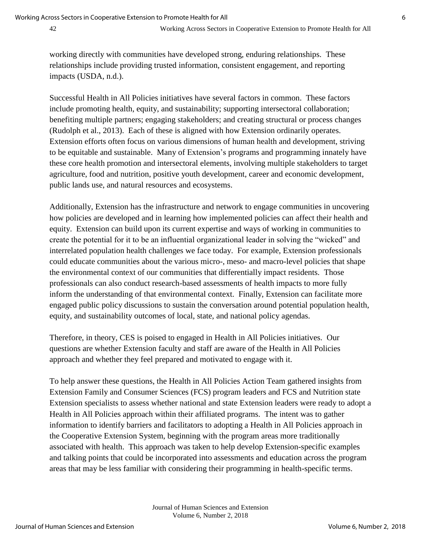working directly with communities have developed strong, enduring relationships. These relationships include providing trusted information, consistent engagement, and reporting impacts (USDA, n.d.).

Successful Health in All Policies initiatives have several factors in common. These factors include promoting health, equity, and sustainability; supporting intersectoral collaboration; benefiting multiple partners; engaging stakeholders; and creating structural or process changes (Rudolph et al., 2013). Each of these is aligned with how Extension ordinarily operates. Extension efforts often focus on various dimensions of human health and development, striving to be equitable and sustainable. Many of Extension's programs and programming innately have these core health promotion and intersectoral elements, involving multiple stakeholders to target agriculture, food and nutrition, positive youth development, career and economic development, public lands use, and natural resources and ecosystems.

Additionally, Extension has the infrastructure and network to engage communities in uncovering how policies are developed and in learning how implemented policies can affect their health and equity. Extension can build upon its current expertise and ways of working in communities to create the potential for it to be an influential organizational leader in solving the "wicked" and interrelated population health challenges we face today. For example, Extension professionals could educate communities about the various micro-, meso- and macro-level policies that shape the environmental context of our communities that differentially impact residents. Those professionals can also conduct research-based assessments of health impacts to more fully inform the understanding of that environmental context. Finally, Extension can facilitate more engaged public policy discussions to sustain the conversation around potential population health, equity, and sustainability outcomes of local, state, and national policy agendas.

Therefore, in theory, CES is poised to engaged in Health in All Policies initiatives. Our questions are whether Extension faculty and staff are aware of the Health in All Policies approach and whether they feel prepared and motivated to engage with it.

To help answer these questions, the Health in All Policies Action Team gathered insights from Extension Family and Consumer Sciences (FCS) program leaders and FCS and Nutrition state Extension specialists to assess whether national and state Extension leaders were ready to adopt a Health in All Policies approach within their affiliated programs. The intent was to gather information to identify barriers and facilitators to adopting a Health in All Policies approach in the Cooperative Extension System, beginning with the program areas more traditionally associated with health. This approach was taken to help develop Extension-specific examples and talking points that could be incorporated into assessments and education across the program areas that may be less familiar with considering their programming in health-specific terms.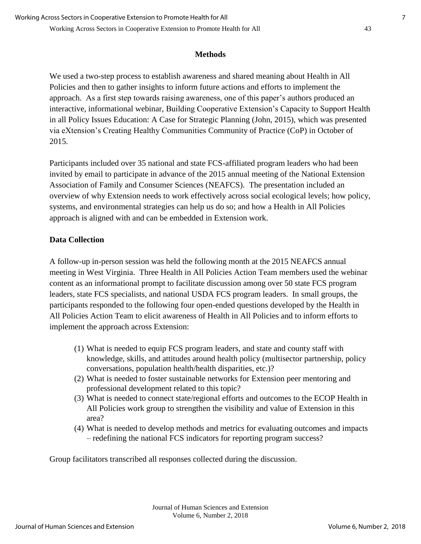#### **Methods**

We used a two-step process to establish awareness and shared meaning about Health in All Policies and then to gather insights to inform future actions and efforts to implement the approach. As a first step towards raising awareness, one of this paper's authors produced an interactive, informational webinar, Building Cooperative Extension's Capacity to Support Health in all Policy Issues Education: A Case for Strategic Planning (John, 2015), which was presented via eXtension's Creating Healthy Communities Community of Practice (CoP) in October of 2015.

Participants included over 35 national and state FCS-affiliated program leaders who had been invited by email to participate in advance of the 2015 annual meeting of the National Extension Association of Family and Consumer Sciences (NEAFCS). The presentation included an overview of why Extension needs to work effectively across social ecological levels; how policy, systems, and environmental strategies can help us do so; and how a Health in All Policies approach is aligned with and can be embedded in Extension work.

#### **Data Collection**

A follow-up in-person session was held the following month at the 2015 NEAFCS annual meeting in West Virginia. Three Health in All Policies Action Team members used the webinar content as an informational prompt to facilitate discussion among over 50 state FCS program leaders, state FCS specialists, and national USDA FCS program leaders. In small groups, the participants responded to the following four open-ended questions developed by the Health in All Policies Action Team to elicit awareness of Health in All Policies and to inform efforts to implement the approach across Extension:

- (1) What is needed to equip FCS program leaders, and state and county staff with knowledge, skills, and attitudes around health policy (multisector partnership, policy conversations, population health/health disparities, etc.)?
- (2) What is needed to foster sustainable networks for Extension peer mentoring and professional development related to this topic?
- (3) What is needed to connect state/regional efforts and outcomes to the ECOP Health in All Policies work group to strengthen the visibility and value of Extension in this area?
- (4) What is needed to develop methods and metrics for evaluating outcomes and impacts – redefining the national FCS indicators for reporting program success?

Group facilitators transcribed all responses collected during the discussion.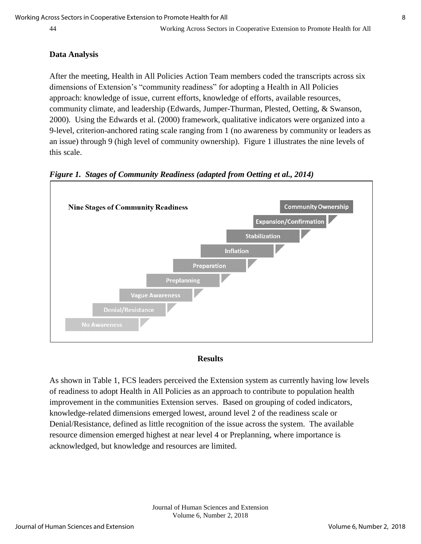#### **Data Analysis**

After the meeting, Health in All Policies Action Team members coded the transcripts across six dimensions of Extension's "community readiness" for adopting a Health in All Policies approach: knowledge of issue, current efforts, knowledge of efforts, available resources, community climate, and leadership (Edwards, Jumper-Thurman, Plested, Oetting, & Swanson, 2000). Using the Edwards et al. (2000) framework, qualitative indicators were organized into a 9-level, criterion-anchored rating scale ranging from 1 (no awareness by community or leaders as an issue) through 9 (high level of community ownership). Figure 1 illustrates the nine levels of this scale.





#### **Results**

As shown in Table 1, FCS leaders perceived the Extension system as currently having low levels of readiness to adopt Health in All Policies as an approach to contribute to population health improvement in the communities Extension serves. Based on grouping of coded indicators, knowledge-related dimensions emerged lowest, around level 2 of the readiness scale or Denial/Resistance, defined as little recognition of the issue across the system. The available resource dimension emerged highest at near level 4 or Preplanning, where importance is acknowledged, but knowledge and resources are limited.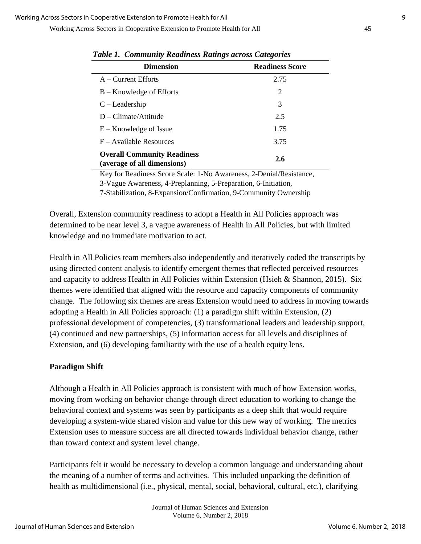Working Across Sectors in Cooperative Extension to Promote Health for All 45

| <b>Dimension</b>                                                  | <b>Readiness Score</b> |
|-------------------------------------------------------------------|------------------------|
| $A -$ Current Efforts                                             | 2.75                   |
| $B -$ Knowledge of Efforts                                        | 2                      |
| $C$ – Leadership                                                  | 3                      |
| $D$ – Climate/Attitude                                            | 2.5                    |
| $E -$ Knowledge of Issue                                          | 1.75                   |
| F – Available Resources                                           | 3.75                   |
| <b>Overall Community Readiness</b><br>(average of all dimensions) | 2.6                    |

 *Table 1. Community Readiness Ratings across Categories*

Key for Readiness Score Scale: 1-No Awareness, 2-Denial/Resistance,

3-Vague Awareness, 4-Preplanning, 5-Preparation, 6-Initiation,

7-Stabilization, 8-Expansion/Confirmation, 9-Community Ownership

Overall, Extension community readiness to adopt a Health in All Policies approach was determined to be near level 3, a vague awareness of Health in All Policies, but with limited knowledge and no immediate motivation to act.

Health in All Policies team members also independently and iteratively coded the transcripts by using directed content analysis to identify emergent themes that reflected perceived resources and capacity to address Health in All Policies within Extension (Hsieh & Shannon, 2015). Six themes were identified that aligned with the resource and capacity components of community change. The following six themes are areas Extension would need to address in moving towards adopting a Health in All Policies approach: (1) a paradigm shift within Extension, (2) professional development of competencies, (3) transformational leaders and leadership support, (4) continued and new partnerships, (5) information access for all levels and disciplines of Extension, and (6) developing familiarity with the use of a health equity lens.

#### **Paradigm Shift**

Although a Health in All Policies approach is consistent with much of how Extension works, moving from working on behavior change through direct education to working to change the behavioral context and systems was seen by participants as a deep shift that would require developing a system-wide shared vision and value for this new way of working. The metrics Extension uses to measure success are all directed towards individual behavior change, rather than toward context and system level change.

Participants felt it would be necessary to develop a common language and understanding about the meaning of a number of terms and activities. This included unpacking the definition of health as multidimensional (i.e., physical, mental, social, behavioral, cultural, etc.), clarifying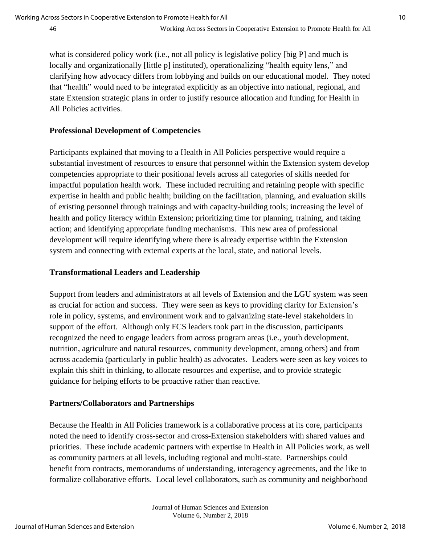what is considered policy work (i.e., not all policy is legislative policy [big P] and much is locally and organizationally [little p] instituted), operationalizing "health equity lens," and clarifying how advocacy differs from lobbying and builds on our educational model. They noted that "health" would need to be integrated explicitly as an objective into national, regional, and state Extension strategic plans in order to justify resource allocation and funding for Health in All Policies activities.

#### **Professional Development of Competencies**

Participants explained that moving to a Health in All Policies perspective would require a substantial investment of resources to ensure that personnel within the Extension system develop competencies appropriate to their positional levels across all categories of skills needed for impactful population health work. These included recruiting and retaining people with specific expertise in health and public health; building on the facilitation, planning, and evaluation skills of existing personnel through trainings and with capacity-building tools; increasing the level of health and policy literacy within Extension; prioritizing time for planning, training, and taking action; and identifying appropriate funding mechanisms. This new area of professional development will require identifying where there is already expertise within the Extension system and connecting with external experts at the local, state, and national levels.

#### **Transformational Leaders and Leadership**

Support from leaders and administrators at all levels of Extension and the LGU system was seen as crucial for action and success. They were seen as keys to providing clarity for Extension's role in policy, systems, and environment work and to galvanizing state-level stakeholders in support of the effort. Although only FCS leaders took part in the discussion, participants recognized the need to engage leaders from across program areas (i.e., youth development, nutrition, agriculture and natural resources, community development, among others) and from across academia (particularly in public health) as advocates. Leaders were seen as key voices to explain this shift in thinking, to allocate resources and expertise, and to provide strategic guidance for helping efforts to be proactive rather than reactive.

#### **Partners/Collaborators and Partnerships**

Because the Health in All Policies framework is a collaborative process at its core, participants noted the need to identify cross-sector and cross-Extension stakeholders with shared values and priorities. These include academic partners with expertise in Health in All Policies work, as well as community partners at all levels, including regional and multi-state. Partnerships could benefit from contracts, memorandums of understanding, interagency agreements, and the like to formalize collaborative efforts. Local level collaborators, such as community and neighborhood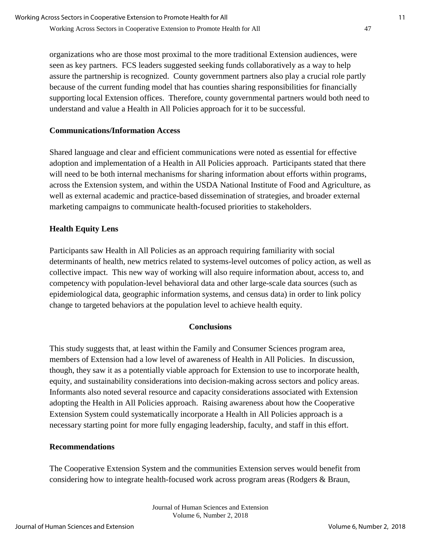organizations who are those most proximal to the more traditional Extension audiences, were seen as key partners. FCS leaders suggested seeking funds collaboratively as a way to help assure the partnership is recognized. County government partners also play a crucial role partly because of the current funding model that has counties sharing responsibilities for financially supporting local Extension offices. Therefore, county governmental partners would both need to understand and value a Health in All Policies approach for it to be successful.

## **Communications/Information Access**

Shared language and clear and efficient communications were noted as essential for effective adoption and implementation of a Health in All Policies approach. Participants stated that there will need to be both internal mechanisms for sharing information about efforts within programs, across the Extension system, and within the USDA National Institute of Food and Agriculture, as well as external academic and practice-based dissemination of strategies, and broader external marketing campaigns to communicate health-focused priorities to stakeholders.

## **Health Equity Lens**

Participants saw Health in All Policies as an approach requiring familiarity with social determinants of health, new metrics related to systems-level outcomes of policy action, as well as collective impact. This new way of working will also require information about, access to, and competency with population-level behavioral data and other large-scale data sources (such as epidemiological data, geographic information systems, and census data) in order to link policy change to targeted behaviors at the population level to achieve health equity.

## **Conclusions**

This study suggests that, at least within the Family and Consumer Sciences program area, members of Extension had a low level of awareness of Health in All Policies. In discussion, though, they saw it as a potentially viable approach for Extension to use to incorporate health, equity, and sustainability considerations into decision-making across sectors and policy areas. Informants also noted several resource and capacity considerations associated with Extension adopting the Health in All Policies approach. Raising awareness about how the Cooperative Extension System could systematically incorporate a Health in All Policies approach is a necessary starting point for more fully engaging leadership, faculty, and staff in this effort.

## **Recommendations**

The Cooperative Extension System and the communities Extension serves would benefit from considering how to integrate health-focused work across program areas (Rodgers & Braun,

> Journal of Human Sciences and Extension Volume 6, Number 2, 2018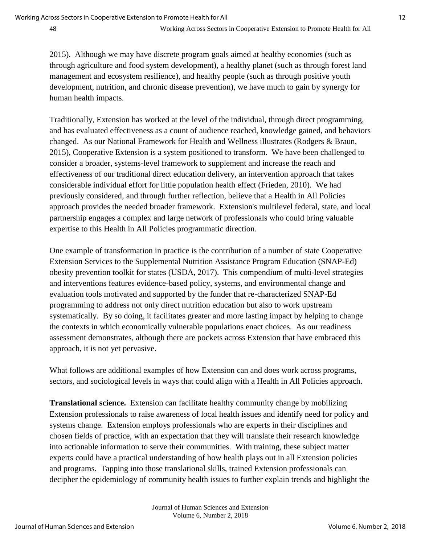2015). Although we may have discrete program goals aimed at healthy economies (such as through agriculture and food system development), a healthy planet (such as through forest land management and ecosystem resilience), and healthy people (such as through positive youth development, nutrition, and chronic disease prevention), we have much to gain by synergy for human health impacts.

Traditionally, Extension has worked at the level of the individual, through direct programming, and has evaluated effectiveness as a count of audience reached, knowledge gained, and behaviors changed. As our National Framework for Health and Wellness illustrates (Rodgers & Braun, 2015), Cooperative Extension is a system positioned to transform. We have been challenged to consider a broader, systems-level framework to supplement and increase the reach and effectiveness of our traditional direct education delivery, an intervention approach that takes considerable individual effort for little population health effect (Frieden, 2010). We had previously considered, and through further reflection, believe that a Health in All Policies approach provides the needed broader framework. Extension's multilevel federal, state, and local partnership engages a complex and large network of professionals who could bring valuable expertise to this Health in All Policies programmatic direction.

One example of transformation in practice is the contribution of a number of state Cooperative Extension Services to the Supplemental Nutrition Assistance Program Education (SNAP-Ed) obesity prevention toolkit for states (USDA, 2017). This compendium of multi-level strategies and interventions features evidence-based policy, systems, and environmental change and evaluation tools motivated and supported by the funder that re-characterized SNAP-Ed programming to address not only direct nutrition education but also to work upstream systematically. By so doing, it facilitates greater and more lasting impact by helping to change the contexts in which economically vulnerable populations enact choices. As our readiness assessment demonstrates, although there are pockets across Extension that have embraced this approach, it is not yet pervasive.

What follows are additional examples of how Extension can and does work across programs, sectors, and sociological levels in ways that could align with a Health in All Policies approach.

**Translational science.** Extension can facilitate healthy community change by mobilizing Extension professionals to raise awareness of local health issues and identify need for policy and systems change. Extension employs professionals who are experts in their disciplines and chosen fields of practice, with an expectation that they will translate their research knowledge into actionable information to serve their communities. With training, these subject matter experts could have a practical understanding of how health plays out in all Extension policies and programs. Tapping into those translational skills, trained Extension professionals can decipher the epidemiology of community health issues to further explain trends and highlight the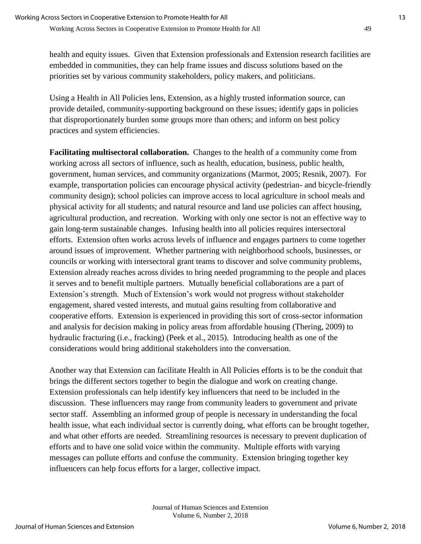health and equity issues. Given that Extension professionals and Extension research facilities are embedded in communities, they can help frame issues and discuss solutions based on the priorities set by various community stakeholders, policy makers, and politicians.

Using a Health in All Policies lens, Extension, as a highly trusted information source, can provide detailed, community-supporting background on these issues; identify gaps in policies that disproportionately burden some groups more than others; and inform on best policy practices and system efficiencies.

**Facilitating multisectoral collaboration.** Changes to the health of a community come from working across all sectors of influence, such as health, education, business, public health, government, human services, and community organizations (Marmot, 2005; Resnik, 2007). For example, transportation policies can encourage physical activity (pedestrian- and bicycle-friendly community design); school policies can improve access to local agriculture in school meals and physical activity for all students; and natural resource and land use policies can affect housing, agricultural production, and recreation. Working with only one sector is not an effective way to gain long-term sustainable changes. Infusing health into all policies requires intersectoral efforts. Extension often works across levels of influence and engages partners to come together around issues of improvement. Whether partnering with neighborhood schools, businesses, or councils or working with intersectoral grant teams to discover and solve community problems, Extension already reaches across divides to bring needed programming to the people and places it serves and to benefit multiple partners. Mutually beneficial collaborations are a part of Extension's strength. Much of Extension's work would not progress without stakeholder engagement, shared vested interests, and mutual gains resulting from collaborative and cooperative efforts. Extension is experienced in providing this sort of cross-sector information and analysis for decision making in policy areas from affordable housing (Thering, 2009) to hydraulic fracturing (i.e., fracking) (Peek et al., 2015). Introducing health as one of the considerations would bring additional stakeholders into the conversation.

Another way that Extension can facilitate Health in All Policies efforts is to be the conduit that brings the different sectors together to begin the dialogue and work on creating change. Extension professionals can help identify key influencers that need to be included in the discussion. These influencers may range from community leaders to government and private sector staff. Assembling an informed group of people is necessary in understanding the focal health issue, what each individual sector is currently doing, what efforts can be brought together, and what other efforts are needed. Streamlining resources is necessary to prevent duplication of efforts and to have one solid voice within the community. Multiple efforts with varying messages can pollute efforts and confuse the community. Extension bringing together key influencers can help focus efforts for a larger, collective impact.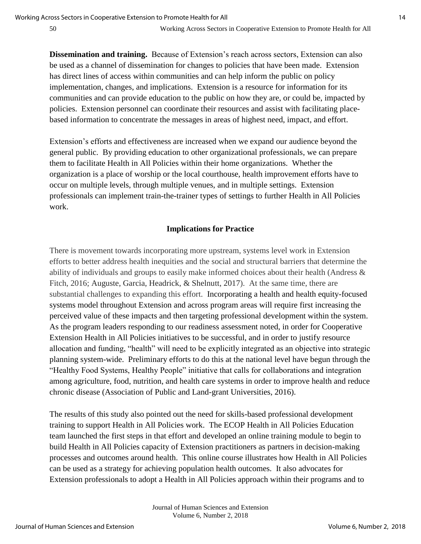**Dissemination and training.** Because of Extension's reach across sectors, Extension can also be used as a channel of dissemination for changes to policies that have been made. Extension has direct lines of access within communities and can help inform the public on policy implementation, changes, and implications. Extension is a resource for information for its communities and can provide education to the public on how they are, or could be, impacted by policies. Extension personnel can coordinate their resources and assist with facilitating placebased information to concentrate the messages in areas of highest need, impact, and effort.

Extension's efforts and effectiveness are increased when we expand our audience beyond the general public. By providing education to other organizational professionals, we can prepare them to facilitate Health in All Policies within their home organizations. Whether the organization is a place of worship or the local courthouse, health improvement efforts have to occur on multiple levels, through multiple venues, and in multiple settings. Extension professionals can implement train-the-trainer types of settings to further Health in All Policies work.

#### **Implications for Practice**

There is movement towards incorporating more upstream, systems level work in Extension efforts to better address health inequities and the social and structural barriers that determine the ability of individuals and groups to easily make informed choices about their health (Andress & Fitch, 2016; Auguste, Garcia, Headrick, & Shelnutt, 2017). At the same time, there are substantial challenges to expanding this effort. Incorporating a health and health equity-focused systems model throughout Extension and across program areas will require first increasing the perceived value of these impacts and then targeting professional development within the system. As the program leaders responding to our readiness assessment noted, in order for Cooperative Extension Health in All Policies initiatives to be successful, and in order to justify resource allocation and funding, "health" will need to be explicitly integrated as an objective into strategic planning system-wide. Preliminary efforts to do this at the national level have begun through the "Healthy Food Systems, Healthy People" initiative that calls for collaborations and integration among agriculture, food, nutrition, and health care systems in order to improve health and reduce chronic disease (Association of Public and Land-grant Universities, 2016).

The results of this study also pointed out the need for skills-based professional development training to support Health in All Policies work. The ECOP Health in All Policies Education team launched the first steps in that effort and developed an online training module to begin to build Health in All Policies capacity of Extension practitioners as partners in decision-making processes and outcomes around health. This online course illustrates how Health in All Policies can be used as a strategy for achieving population health outcomes. It also advocates for Extension professionals to adopt a Health in All Policies approach within their programs and to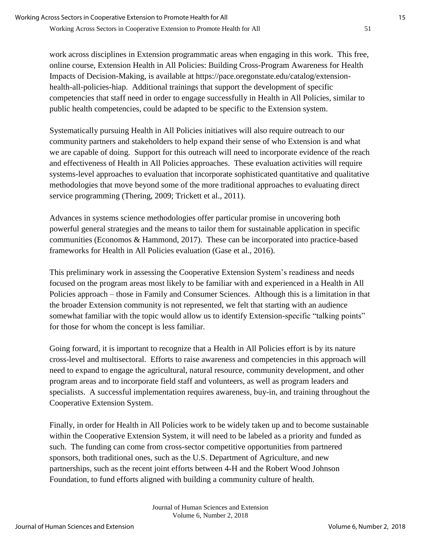work across disciplines in Extension programmatic areas when engaging in this work. This free, online course, Extension Health in All Policies: Building Cross-Program Awareness for Health Impacts of Decision-Making, is available at https://pace.oregonstate.edu/catalog/extensionhealth-all-policies-hiap. Additional trainings that support the development of specific competencies that staff need in order to engage successfully in Health in All Policies, similar to public health competencies, could be adapted to be specific to the Extension system.

Systematically pursuing Health in All Policies initiatives will also require outreach to our community partners and stakeholders to help expand their sense of who Extension is and what we are capable of doing. Support for this outreach will need to incorporate evidence of the reach and effectiveness of Health in All Policies approaches. These evaluation activities will require systems-level approaches to evaluation that incorporate sophisticated quantitative and qualitative methodologies that move beyond some of the more traditional approaches to evaluating direct service programming (Thering, 2009; Trickett et al., 2011).

Advances in systems science methodologies offer particular promise in uncovering both powerful general strategies and the means to tailor them for sustainable application in specific communities (Economos & Hammond, 2017). These can be incorporated into practice-based frameworks for Health in All Policies evaluation (Gase et al., 2016).

This preliminary work in assessing the Cooperative Extension System's readiness and needs focused on the program areas most likely to be familiar with and experienced in a Health in All Policies approach – those in Family and Consumer Sciences. Although this is a limitation in that the broader Extension community is not represented, we felt that starting with an audience somewhat familiar with the topic would allow us to identify Extension-specific "talking points" for those for whom the concept is less familiar.

Going forward, it is important to recognize that a Health in All Policies effort is by its nature cross-level and multisectoral. Efforts to raise awareness and competencies in this approach will need to expand to engage the agricultural, natural resource, community development, and other program areas and to incorporate field staff and volunteers, as well as program leaders and specialists. A successful implementation requires awareness, buy-in, and training throughout the Cooperative Extension System.

Finally, in order for Health in All Policies work to be widely taken up and to become sustainable within the Cooperative Extension System, it will need to be labeled as a priority and funded as such. The funding can come from cross-sector competitive opportunities from partnered sponsors, both traditional ones, such as the U.S. Department of Agriculture, and new partnerships, such as the recent joint efforts between 4-H and the Robert Wood Johnson Foundation, to fund efforts aligned with building a community culture of health.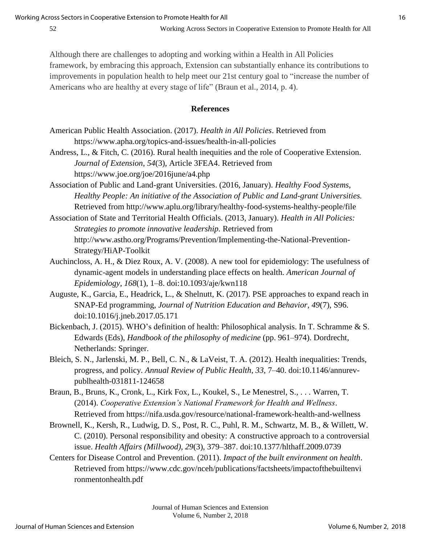Although there are challenges to adopting and working within a Health in All Policies framework, by embracing this approach, Extension can substantially enhance its contributions to improvements in population health to help meet our 21st century goal to "increase the number of Americans who are healthy at every stage of life" (Braun et al., 2014, p. 4).

#### **References**

- American Public Health Association. (2017). *Health in All Policies*. Retrieved from https://www.apha.org/topics-and-issues/health-in-all-policies
- Andress, L., & Fitch, C. (2016). Rural health inequities and the role of Cooperative Extension. *Journal of Extension*, *54*(3), Article 3FEA4. Retrieved from https://www.joe.org/joe/2016june/a4.php
- Association of Public and Land-grant Universities. (2016, January). *Healthy Food Systems, Healthy People: An initiative of the Association of Public and Land-grant Universities.*  Retrieved from http://www.aplu.org/library/healthy-food-systems-healthy-people/file
- Association of State and Territorial Health Officials. (2013, January). *Health in All Policies: Strategies to promote innovative leadership.* Retrieved from http://www.astho.org/Programs/Prevention/Implementing-the-National-Prevention-Strategy/HiAP-Toolkit
- Auchincloss, A. H., & Diez Roux, A. V. (2008). A new tool for epidemiology: The usefulness of dynamic-agent models in understanding place effects on health. *American Journal of Epidemiology, 168*(1), 1–8. doi:10.1093/aje/kwn118
- Auguste, K., Garcia, E., Headrick, L., & Shelnutt, K. (2017). PSE approaches to expand reach in SNAP-Ed programming, *Journal of Nutrition Education and Behavior*, *49*(7), S96. doi:10.1016/j.jneb.2017.05.171
- Bickenbach, J. (2015). WHO's definition of health: Philosophical analysis. In T. Schramme & S. Edwards (Eds), *Handbook of the philosophy of medicine* (pp. 961–974). Dordrecht, Netherlands: Springer.
- Bleich, S. N., Jarlenski, M. P., Bell, C. N., & LaVeist, T. A. (2012). Health inequalities: Trends, progress, and policy. *Annual Review of Public Health*, *33*, 7–40. doi:10.1146/annurevpublhealth-031811-124658
- Braun, B., Bruns, K., Cronk, L., Kirk Fox, L., Koukel, S., Le Menestrel, S., . . . Warren, T. (2014). *Cooperative Extension's National Framework for Health and Wellness*. Retrieved from https://nifa.usda.gov/resource/national-framework-health-and-wellness
- Brownell, K., Kersh, R., Ludwig, D. S., Post, R. C., Puhl, R. M., Schwartz, M. B., & Willett, W. C. (2010). Personal responsibility and obesity: A constructive approach to a controversial issue. *Health Affairs (Millwood), 29*(3), 379–387. doi:10.1377/hlthaff.2009.0739
- Centers for Disease Control and Prevention. (2011). *Impact of the built environment on health*. Retrieved from https://www.cdc.gov/nceh/publications/factsheets/impactofthebuiltenvi ronmentonhealth.pdf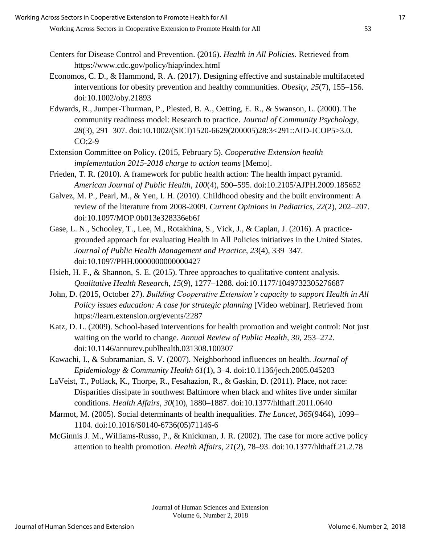- Centers for Disease Control and Prevention. (2016). *Health in All Policies*. Retrieved from https://www.cdc.gov/policy/hiap/index.html
- Economos, C. D., & Hammond, R. A. (2017). Designing effective and sustainable multifaceted interventions for obesity prevention and healthy communities. *Obesity, 25*(7), 155–156. doi:10.1002/oby.21893
- Edwards, R., Jumper-Thurman, P., Plested, B. A., Oetting, E. R., & Swanson, L. (2000). The community readiness model: Research to practice. *Journal of Community Psychology*, *28*(3), 291–307. doi:10.1002/(SICI)1520-6629(200005)28:3<291::AID-JCOP5>3.0. CO;2-9
- Extension Committee on Policy. (2015, February 5). *Cooperative Extension health implementation 2015-2018 charge to action teams* [Memo].
- Frieden, T. R. (2010). A framework for public health action: The health impact pyramid. *American Journal of Public Health*, *100*(4), 590–595. doi:10.2105/AJPH.2009.185652
- Galvez, M. P., Pearl, M., & Yen, I. H. (2010). Childhood obesity and the built environment: A review of the literature from 2008-2009. *Current Opinions in Pediatrics, 22*(2), 202–207. doi:10.1097/MOP.0b013e328336eb6f
- Gase, L. N., Schooley, T., Lee, M., Rotakhina, S., Vick, J., & Caplan, J. (2016). A practicegrounded approach for evaluating Health in All Policies initiatives in the United States. *Journal of Public Health Management and Practice*, *23*(4), 339–347. doi:10.1097/PHH.0000000000000427
- Hsieh, H. F., & Shannon, S. E. (2015). Three approaches to qualitative content analysis. *Qualitative Health Research*, *15*(9), 1277–1288. doi:10.1177/1049732305276687
- John, D. (2015, October 27). *Building Cooperative Extension's capacity to support Health in All Policy issues education: A case for strategic planning* [Video webinar]. Retrieved from https://learn.extension.org/events/2287
- Katz, D. L. (2009). School-based interventions for health promotion and weight control: Not just waiting on the world to change. *Annual Review of Public Health, 30*, 253–272. doi:10.1146/annurev.publhealth.031308.100307
- Kawachi, I., & Subramanian, S. V. (2007). Neighborhood influences on health. *Journal of Epidemiology & Community Health 61*(1), 3–4. doi:10.1136/jech.2005.045203
- LaVeist, T., Pollack, K., Thorpe, R., Fesahazion, R., & Gaskin, D. (2011). Place, not race: Disparities dissipate in southwest Baltimore when black and whites live under similar conditions. *Health Affairs, 30*(10), 1880–1887. doi:10.1377/hlthaff.2011.0640
- Marmot, M. (2005). Social determinants of health inequalities. *The Lancet*, *365*(9464), 1099– 1104. doi:10.1016/S0140-6736(05)71146-6
- McGinnis J. M., Williams-Russo, P., & Knickman, J. R. (2002). The case for more active policy attention to health promotion. *Health Affairs*, *21*(2), 78–93. doi:10.1377/hlthaff.21.2.78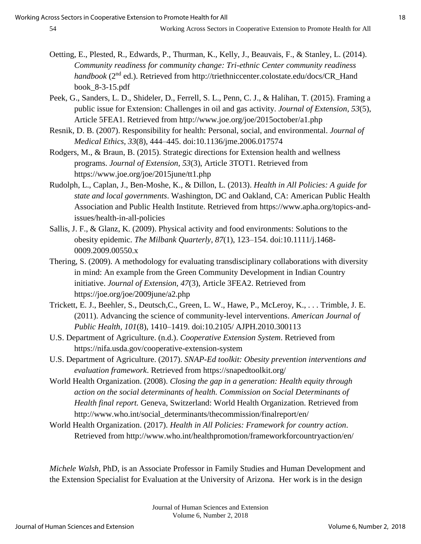- Oetting, E., Plested, R., Edwards, P., Thurman, K., Kelly, J., Beauvais, F., & Stanley, L. (2014). *Community readiness for community change: Tri-ethnic Center community readiness handbook* (2<sup>nd</sup> ed.). Retrieved from http://triethniccenter.colostate.edu/docs/CR\_Hand book\_8-3-15.pdf
- Peek, G., Sanders, L. D., Shideler, D., Ferrell, S. L., Penn, C. J., & Halihan, T. (2015). Framing a public issue for Extension: Challenges in oil and gas activity. *Journal of Extension*, *53*(5), Article 5FEA1. Retrieved from http://www.joe.org/joe/2015october/a1.php
- Resnik, D. B. (2007). Responsibility for health: Personal, social, and environmental. *Journal of Medical Ethics, 33*(8), 444–445. doi:10.1136/jme.2006.017574
- Rodgers, M., & Braun, B. (2015). Strategic directions for Extension health and wellness programs. *Journal of Extension, 53*(3), Article 3TOT1. Retrieved from https://www.joe.org/joe/2015june/tt1.php
- Rudolph, L., Caplan, J., Ben-Moshe, K., & Dillon, L. (2013). *Health in All Policies: A guide for state and local governments*. Washington, DC and Oakland, CA: American Public Health Association and Public Health Institute. Retrieved from https://www.apha.org/topics-andissues/health-in-all-policies
- Sallis, J. F., & Glanz, K. (2009). Physical activity and food environments: Solutions to the obesity epidemic. *The Milbank Quarterly, 87*(1), 123–154. doi:10.1111/j.1468- 0009.2009.00550.x
- Thering, S. (2009). A methodology for evaluating transdisciplinary collaborations with diversity in mind: An example from the Green Community Development in Indian Country initiative. *Journal of Extension*, *47*(3), Article 3FEA2. Retrieved from https://joe.org/joe/2009june/a2.php
- Trickett, E. J., Beehler, S., Deutsch,C., Green, L. W., Hawe, P., McLeroy, K., . . . Trimble, J. E. (2011). Advancing the science of community-level interventions. *American Journal of Public Health, 101*(8), 1410–1419. doi:10.2105/ AJPH.2010.300113
- U.S. Department of Agriculture. (n.d.). *Cooperative Extension System*. Retrieved from https://nifa.usda.gov/cooperative-extension-system
- U.S. Department of Agriculture. (2017). *SNAP-Ed toolkit: Obesity prevention interventions and evaluation framework*. Retrieved from https://snapedtoolkit.org/
- World Health Organization. (2008). *Closing the gap in a generation: Health equity through action on the social determinants of health. Commission on Social Determinants of Health final report.* Geneva, Switzerland: World Health Organization. Retrieved from http://www.who.int/social\_determinants/thecommission/finalreport/en/
- World Health Organization. (2017). *Health in All Policies: Framework for country action*. Retrieved from http://www.who.int/healthpromotion/frameworkforcountryaction/en/

*Michele Walsh*, PhD, is an Associate Professor in Family Studies and Human Development and the Extension Specialist for Evaluation at the University of Arizona. Her work is in the design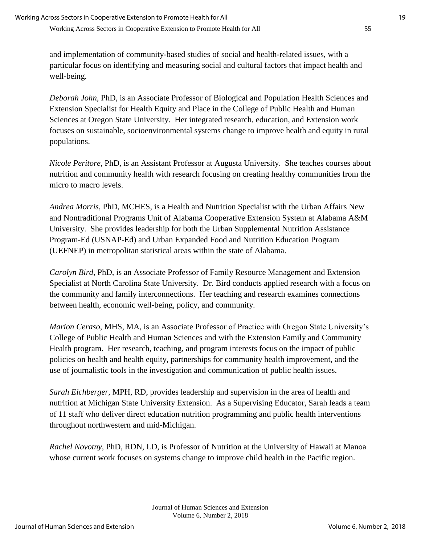and implementation of community-based studies of social and health-related issues, with a particular focus on identifying and measuring social and cultural factors that impact health and well-being.

*Deborah John*, PhD, is an Associate Professor of Biological and Population Health Sciences and Extension Specialist for Health Equity and Place in the College of Public Health and Human Sciences at Oregon State University. Her integrated research, education, and Extension work focuses on sustainable, socioenvironmental systems change to improve health and equity in rural populations.

*Nicole Peritore*, PhD, is an Assistant Professor at Augusta University. She teaches courses about nutrition and community health with research focusing on creating healthy communities from the micro to macro levels.

*Andrea Morris*, PhD, MCHES, is a Health and Nutrition Specialist with the Urban Affairs New and Nontraditional Programs Unit of Alabama Cooperative Extension System at Alabama A&M University. She provides leadership for both the Urban Supplemental Nutrition Assistance Program-Ed (USNAP-Ed) and Urban Expanded Food and Nutrition Education Program (UEFNEP) in metropolitan statistical areas within the state of Alabama.

*Carolyn Bird*, PhD, is an Associate Professor of Family Resource Management and Extension Specialist at North Carolina State University. Dr. Bird conducts applied research with a focus on the community and family interconnections. Her teaching and research examines connections between health, economic well-being, policy, and community.

*Marion Ceraso*, MHS, MA, is an Associate Professor of Practice with Oregon State University's College of Public Health and Human Sciences and with the Extension Family and Community Health program. Her research, teaching, and program interests focus on the impact of public policies on health and health equity, partnerships for community health improvement, and the use of journalistic tools in the investigation and communication of public health issues.

*Sarah Eichberger*, MPH, RD, provides leadership and supervision in the area of health and nutrition at Michigan State University Extension. As a Supervising Educator, Sarah leads a team of 11 staff who deliver direct education nutrition programming and public health interventions throughout northwestern and mid-Michigan.

*Rachel Novotny*, PhD, RDN, LD, is Professor of Nutrition at the University of Hawaii at Manoa whose current work focuses on systems change to improve child health in the Pacific region.